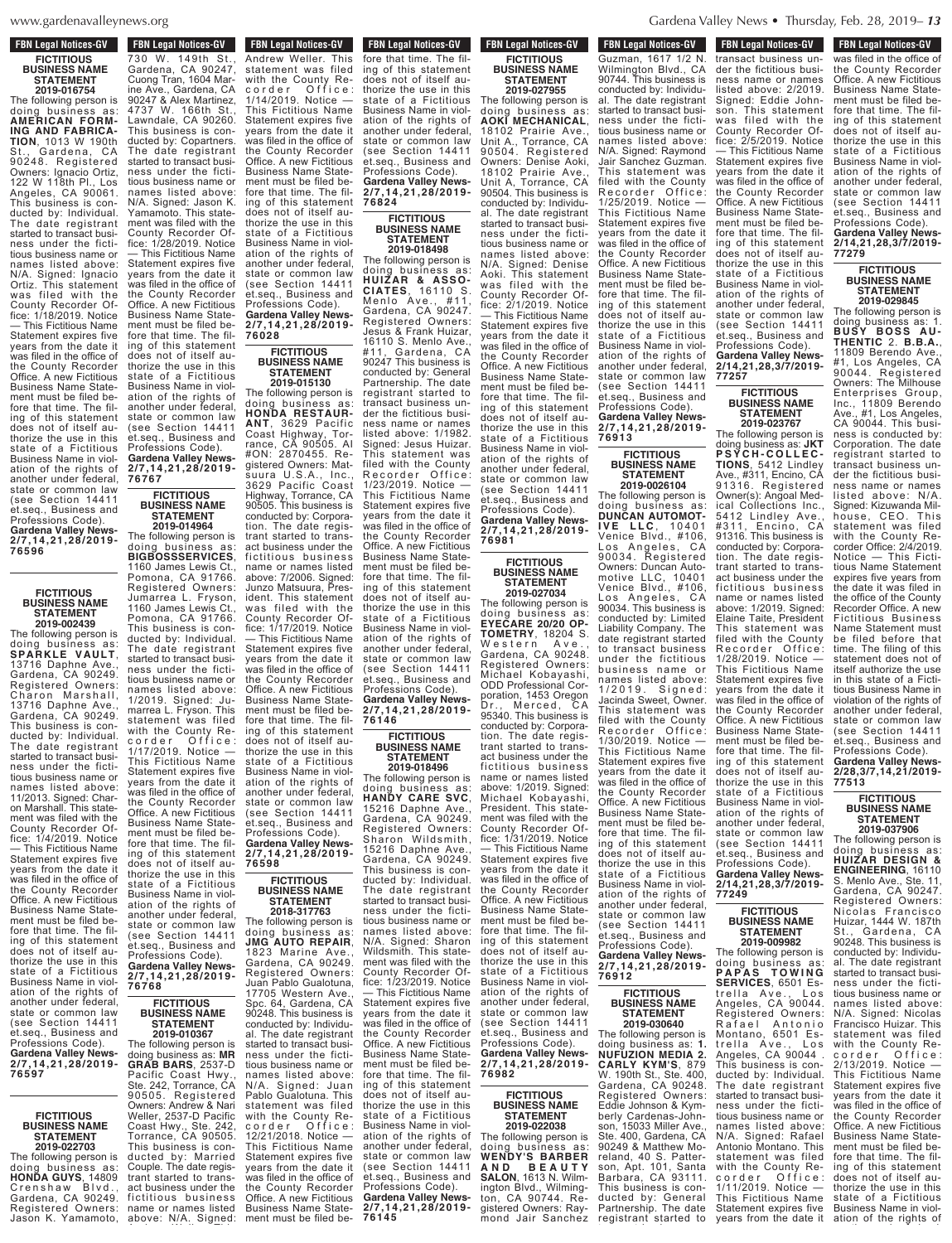$PWS. O19$  $\frac{1}{2}$ 

## **FBN Legal Notices-GV FICTITIOUS BUSINESS NAME STATEMENT**

**2019-016754** The following person is doing business as: **AMERICAN FORM-ING AND FABRICA-TION**, 1013 W 190th St., Gardena, CA 90248. Registered Owners: Ignacio Ortiz, 122 W 118th Pl., Los Angeles, CA 90061. This business is conducted by: Individual. date registrant started to transact business under the fictitious business name or names listed above: N/A. Signed: Ignacio Ortiz. This statement was filed with the County Recorder Office: 1/18/2019. Notice — This Fictitious Name Statement expires five years from the date it was filed in the office of the County Recorder Office. A new Fictitious Business Name Statement must be filed be fore that time. The filing of this statement does not of itself authorize the use in this state of a Fictitious Business Name in violation of the rights of another under federal, state or common law (see Section 14411 et.seq., Business and Professions Code).

**Gardena Valley News-2/7,14,21,28/2019- 76596**

> **FICTITIOUS BUSINESS NAME STATEMENT 2019-002439**

The following person is doing business as: **SPARKLE VAULT**, 13716 Daphne Ave. Gardena, CA 90249. Registered Owners: Charon Marshall, 13716 Daphne Ave<br>Gardena, CA 90249 CA 90249. This business is conducted by: Individual. The date registrant started to transact business under the fictitious business name or names listed above: 11/2013. Signed: Charon Marshall. This statement was filed with the County Recorder Office: 1/4/2019. Notice — This Fictitious Name Statement expires five<br>years from the date it from the date it was filed in the office of the County Recorder Office. A new Fictitious Business Name Statement must be filed before that time. The filing of this statement does not of itself authorize the use in this state of a Fictitious Business Name in violation of the rights of another under federal, state or common law (see Section 14411 et.seq., Business and Professions Code). **Gardena Valley News-2/7,14,21,28/2019-**

#### **FICTITIOUS BUSINESS NAME STATEMENT 2019-022703**

**76597**

The following person is doing business as: **HONDA GUYS**, 14809 Crenshaw Blvd., Gardena, CA 90249. Registered Owners: Jason K. Yamamoto,

**FBN Legal Notices-GV FON LEGAL NUTTLES-CIV** Andrew Weller. This statement was filed with the County Recorder Office: 1/14/2019. Notice — This Fictitious Name Statement expires five years from the date it was filed in the office of the County Recorder Office. A new Fictitious Business Name Statement must be filed before that time. The filing of this statement does not of itself authorize the use in this state of a Fictitious Business Name in violation of the rights of another under federal, state or common law (see Section 14411 et.seq., Business and Professions Code). **Gardena Valley News-2/7,14,21,28/2019- 76028 FICTITIOUS BUSINESS NAME STATEMENT 2019-015130** The following person is doing business as: **HONDA RESTAUR-ANT**, 3629 Pacific **FBN Legal Notices-GV TRANGE CONCRETE IN THE REAL PROPERTY** 730 W. 149th St., Gardena, CA 90247, Cuong Tran, 1604 Marine Ave., Gardena, CA 90247 & Alex Martinez, 4737 W. 166th St., Lawndale, CA 90260. This business is conducted by: Copartners. The date registrant started to transact business under the fictitious business name or names listed above: N/A. Signed: Jason K. Yamamoto. This statement was filed with the County Recorder Office: 1/28/2019. Notice — This Fictitious Name Statement expires five years from the date it was filed in the office of the County Recorder Office. A new Fictitious Business Name Statement must be filed before that time. The filing of this statement does not of itself authorize the use in this state of a Fictitious Business Name in violation of the rights of another under federal, state or common law (see Section 14411

**76767 FICTITIOUS BUSINESS NAME STATEMENT**

**2019-014964**

et.seq., Business and Professions Code). **Gardena Valley News-2/7,14,21,28/2019-**

Coast Highway, Torrance, CA 90505. AI #ON: 2870455. Registered Owners: Matsuura U.S.A., Inc., 3629 Pacific Coast Highway, Torrance, CA 90505. This business is conducted by: Corporation. The date registrant started to trans-

doing business as: **JMG AUTO REPAIR**, 1823 Marine Ave., Gardena, CA 90249. Registered Owners: Juan Pablo Gualotuna, 17705 Western Ave., Spc. 64, Gardena, CA 90248. This business is conducted by: Individual. The date registrant

#### act business under the fictitious business name or names listed above: 7/2006. Signed: Junzo Matsuura, President. This statement was filed with the County Recorder Office: 1/17/2019. Notice — This Fictitious Name Statement expires five years from the date it was filed in the office of the County Recorder Office. A new Fictitious Business Name Statement must be filed before that time. The filing of this statement does not of itself authorize the use in this state of a Fictitious Business Name in violation of the rights of another under federal, state or common law state of common fail et.seq., Business and Professions Code). **Gardena Valley News-2/7,14,21,28/2019- 76598 FICTITIOUS BUSINESS NAME STATEMENT 2018-317763** The following person is The following person is doing business as: **BIGBOSSSERVICES**, 1160 James Lewis Ct. Pomona, CA 91766. Registered Owners: Jumarrea L. Fryson, 1160 James Lewis Ct., Pomona, CA 91766. This business is conducted by: Individual. The date registrant started to transact business under the fictitious business name or names listed above: 1/2019. Signed: Jumarrea L. Fryson. This statement was filed with the County Recorder Office: 1/17/2019. Notice — This Fictitious Name Statement expires five years from the date it was filed in the office of the County Recorder Office. A new Fictitious Business Name Statement must be filed before that time. The filing of this statement does not of itself authorize the use in this state of a Fictitious Business Name in violation of the rights of

another under federal, state or common law (see Section 14411 et.seq., Business and Professions Code). **Gardena Valley News-2/7,14,21,28/2019- 76768**

#### **FICTITIOUS BUSINESS NAME STATEMENT 2019-010367**

started to transact business under the fictitious business name or names listed above: N/A. Signed: Juan Pablo Gualotuna. This statement was filed with the County Recorder Office: 12/21/2018. Notice — This Fictitious Name Statement expires five years from the date it was filed in the office of the County Recorder Office. A new Fictitious Business Name Statement must be filed be-The following person is doing business as: **MR GRAB BARS**, 2537-D Pacific Coast Hwy., Ste. 242, Torrance, CA 90505. Registered Owners: Andrew & Nari Weller, 2537-D Pacific Coast Hwy., Ste. 242, Torrance, CA 90505. This business is conducted by: Married Couple. The date registrant started to transact business under the fictitious business name or names listed above: N/A. Signed:

**FBN Legal Notices-GV FILED FIRE MULLES-AVENUES** fore that time. The filing of this statement does not of itself authorize the use in this state of a Fictitious Business Name in violation of the rights of another under federal, state or common law (see Section 14411 et.seq., Business and Professions Code). **Gardena Valley News-2/7,14,21,28/2019- 76824**

#### **FICTITIOUS BUSINESS NAME STATEMENT 2019-018498**

The following person is doing business as: **HUIZAR & ASSO-CIATES**, 16110 S. Menlo Ave., #11, Gardena, CA 90247. Registered Owners: Jesus & Frank Huizar, 16110 S. Menlo Ave., #11, Gardena, CA 90247 This business is conducted by: General Partnership. The date registrant started to transact business under the fictitious business name or names listed above: 1/1982. Signed: Jesus Huizar. This statement was filed with the County<br>Recorder Office: Recorder Office: 1/23/2019. Notice — This Fictitious Name Statement expires five years from the date it was filed in the office of the County Recorder Office. A new Fictitious Business Name Statement must be filed before that time. The filing of this statement does not of itself authorize the use in this state of a Fictitious Business Name in violation of the rights of another under federal, state or common law (see Section 14411 et.seq., Business and Professions Code). **Gardena Valley** Ne **2/7,14,21,28/2019-**

> **FICTITIOUS BUSINESS NAME STATEMENT 2019-018496**

**76146**

The following person is doing business as: **HANDY CARE SVC**, 15216 Daphne Ave., Gardena, CA 90249. Registered Owners: Sharon Wildsmith, 15216 Daphne Ave., Gardena, CA 90249. This business is conducted by: Individual. The date registrant started to transact business under the fictitious business name or names listed above: N/A. Signed: Sharon Wildsmith. This statement was filed with the County Recorder Of-fice: 1/23/2019. Notice — This Fictitious Name Statement expires five years from the date it was filed in the office of the County Recorder Office. A new Fictitious Business Name Statement must be filed before that time. The filing of this statement does not of itself authorize the use in this state of a Fictitious Business Name in violation of the rights of another under federal, state or common law (see Section 14411 et.seq., Business and Professions Code). **Gardena Valley News-2/7,14,21,28/2019- 76145**

**FBN Legal Notices-GV FICTITIOUS BUSINESS NAME STATEMENT 2019-027955**

**Gardena Valley News-2/7,14,21,28/2019- 76913** The following person is The following person is doing business as: **AOKI MECHANICAL**, 18102 Prairie Ave., Unit A., Torrance, CA 90504. Registered Owners: Denise Aoki, 18102 Prairie Ave. Unit A, Torrance, CA 90504. This business is conducted by: Individual. The date registrant started to transact business under the fictitious business name or names listed above: N/A. Signed: Denise Aoki. This statement was filed with the County Recorder Office: 2/1/2019. Notice — This Fictitious Name Statement expires five years from the date it was filed in the office of the County Recorder Office. A new Fictitious Business Name Statement must be filed before that time. The filing of this statement does not of itself authorize the use in this state of a Fictitious Business Name in violation of the rights of another under federal, state or common law (see Section 14411 et.seq., Business and

Professions Code). **Gardena Valley News-2/7,14,21,28/2019- 76981 FICTITIOUS**

motive LLC, 10401 Venice Blvd., #106, Los Angeles, CA 90034. This business is conducted by: Limited Liability Company. The date registrant started to transact business under the fictitious business name or names listed above: 1/2019. Signed: Jacinda Sweet, Owner. This statement was filed with the County Recorder Office: 1/30/2019. Notice — This Fictitious Name Statement expires five years from the date it was filed in the office of the County Recorder Office. A new Fictitious Business Name Statement must be filed before that time. The filing of this statement does not of itself authorize the use in this state of a Fictitious Business Name in violation of the rights of **ation of the rights** another under federal, state or common law (see Section 14411 **76912 BUSINESS NAME STATEMENT 2019-027034** The following person is doing business as: **EYECARE 20/20 OP-TOMETRY**, 18204 S. Western Ave., Gardena, CA 90248. Registered Owners: Michael Kobayashi, ODD Professional Corporation, 1453 Oregon Dr., Merced, CA 95340. This business is conducted by: Corporation. The date registrant started to transact business under the fictitious business name or names listed above: 1/2019. Signed: Michael Kobayashi, President. This statement was filed with the County Recorder Office: 1/31/2019. Notice — This Fictitious Name Statement expires five years from the date it was filed in the office of the County Recorder Office. A new Fictitious Business Name Statement must be filed before that time. The filing of this statement does not of itself authorize the use in this state of a Fictitious Business Name in viol-

Professions Code). **Gardena Valley News-2/7,14,21,28/2019- 76982**

The following person is doing business as: **WENDY'S BARBER A N D B E A U T Y SALON**, 1613 N. Wilmington Blvd., Wilmington, CA 90744. Registered Owners: Raymond Jair Sanchez

**FBN Legal Notices-GV** rbn Leyal Nulles-dv transact business under the fictitious business name or names listed above: 2/2019. Signed: Eddie Johnson. This statement was filed with the County Recorder Office: 2/5/2019. Notice fice: 2/5/2015. INSURE — This Fictitious Name Statement expires five years from the date it<br>was filed in the complete it was filed in the office of the County Recorder Office. A new Fictitious Business Name Statement must be filed before that time. The filing of this statement does not of itself authorize the use in this state of a Fictitious Business Name in violation of the rights of another under federal, state or common law (see Section 14411 et.seq., Business and Professions Code). **Gardena Valley News-2/14,21,28,3/7/2019- 77257 FBN Legal Notices-GV FROM LEGAL MULLES-GV** Guzman, 1617 1/2 N. Wilmington Blvd., CA 90744. This business is conducted by: Individual. The date registrant started to transact business under the fictitious business name or names listed above: N/A. Signed: Raymond Jair Sanchez Guzman. This statement was filed with the County Recorder Office: 1/25/2019. Notice — This Fictitious Name Statement expires five years from the date it was filed in the office of the County Recorder Office. A new Fictitious Business Name Statement must be filed before that time. The filing of this statement does not of itself authorize the use in this state of a Fictitious Business Name in violation of the rights of another under federal, state or common law (see Section 14411 et.seq., Business and Professions Code).

**FICTITIOUS BUSINESS NAME STATEMENT 2019-0026104**

**I V E L L C** , 1 0 4 0 1

Los Angeles, CA 90034. Registered Owners: Duncan Auto-

> **FICTITIOUS BUSINESS NAME STATEMENT 2019-030640**

son, 15033 Miller Ave.

#### **FICTITIOUS BUSINESS NAME STATEMENT 2019-023767**

The following person is doing business as: **JKT P S Y C H - C O L L E C - TIONS**, 5412 Lindley Ave., #311, Encino, CA 91316. Registered Owner(s): Angoal Medical Collections Inc., 5412 Lindley Ave., #311, Enc ino, CA 91316. This business is conducted by: Corporation. The date registrant started to transact business under the<br>fictitious business fictitious name or names listed above: 1/2019. Signed: Elaine Taite, President This statement was filed with the County<br>Recorder Office: Recorder Office: 1/28/2019. Notice — This Fictitious Name Statement expires five years from the date it was filed in the office of the County Recorder Office. A new Fictitious Business Name Statement must be filed before that time. The filing of this statement does not of itself authorize the use in this state of a Fictitious Business Name in violation of the rights of another under federal, state or common law (see Section 14411 doing business as: **DUNCAN AUTOMOT-**Venice Blvd., #106,

et.seq., Business and Professions Code). **Gardena Valley News-2/14,21,28,3/7/2019- 77249**

#### **FICTITIOUS BUSINESS NAME STATEMENT 2019-009982**

The following person is doing business<br>**PAPAS TOW P A P A S T O W I N G SERVICES**, 6501 Estrella Ave., Los Angeles, CA 90044. Registered Owners: Rafael Antonio Montano, 6501 Estrella Ave., Los Angeles, CA 90044 . This business is conducted by: Individual. The date registrant started to transact business under the fictitious business name or names listed above: N/A. Signed: Rafael Antonio Montano. This statement was filed with the County Recorder Office: 1/11/2019. Notice — This Fictitious Name Statement expires five years from the date it et.seq., Business and Professions Code). **Gardena Valley News-2/7,14,21,28/2019-** The following person is doing business as: **1. NUFUZION MEDIA 2. CARLY KYM'S**, 879 W. 190th St., Ste. 400,<br>Gardena, CA 90248. Registered Owners: Eddie Johnson & Kymberly Cardenas-John-Ste. 400, Gardena, CA 90249 & Matthew Moreland, 40 S. Patter-<br>son, Apt. 101, Santa Barbara, CA 93111. This business is conducted by: General Partnership. The date registrant started to

**FBN Legal Notices-GV FON LEGAL NULLES-GV** was filed in the office of the County Recorder Office. A new Fictitious Business Name Statement must be filed before that time. The filing of this statement does not of itself authorize the use in this state of a Fictitious Business Name in violation of the rights of another under federal, state or common law (see Section 14411 et.seq., Business and Professions Code). **Gardena Valley News-2/14,21,28,3/7/2019-**

#### **FICTITIOUS BUSINESS NAME STATEMENT 2019-029845**

**77279**

The following person is doing business as: 1. **B U SY BOSS A U - THENTIC** 2. **B.B.A.**, 11809 Berendo Ave., #1, Los Angeles, CA 90044. Registered Owners: The Milhouse Enterprises Group, Inc., 11809 Berendo Ave., #1, Los Angeles, CA 90044. This business is conducted by: Corporation. The date registrant started to transact business under the fictitious business name or names listed above: N/A. Signed: Kizuwanda Milhouse, CEO. This statement was filed with the County Recorder Office: 2/4/2019. Notice — This Fictitious Name Statement expires five years from the date it was filed in the office of the County Recorder Office. A new Fictitious Business Name Statement must be filed before that time. The filing of this statement does not of itself authorize the use in this state of a Fictitious Business Name in violation of the rights of another under federal, state or common law (see Section 14411 et.seq., Business and Professions Code). **Gardena Valley News-2/28,3/7,14,21/2019-**

#### **FICTITIOUS BUSINESS NAME STATEMENT 2019-037906**

**77513**

The following person is doing business as: **HUIZAR DESIGN & ENGINEERING**, 16110 S. Menlo Ave., Ste. 11, Gardena, CA 90247. Registered Owners: Nicolas Francisco<br>Huizar, 1444 W. 187th St., Gardena, CA 90248. This business is conducted by: Individual. The date registrant started to transact business under the fictitious business name or names listed above: N/A. Signed: Nicolas Francisco Huizar. This statement was filed with the County Recorder Office: 2/13/2019. Notice — This Fictitious Name Statement expires five years from the date it was filed in the office of the County Recorder Office. A new Fictitious Business Name Statement must be filed before that time. The filing of this statement does not of itself authorize the use in this state of a Fictitious<br>Business Name in violation of the rights of

ation of the rights of another under federal, state or common law (see Section 14411 et.seq., Business and

# **FICTITIOUS**

**BUSINESS NAME STATEMENT 2019-022038**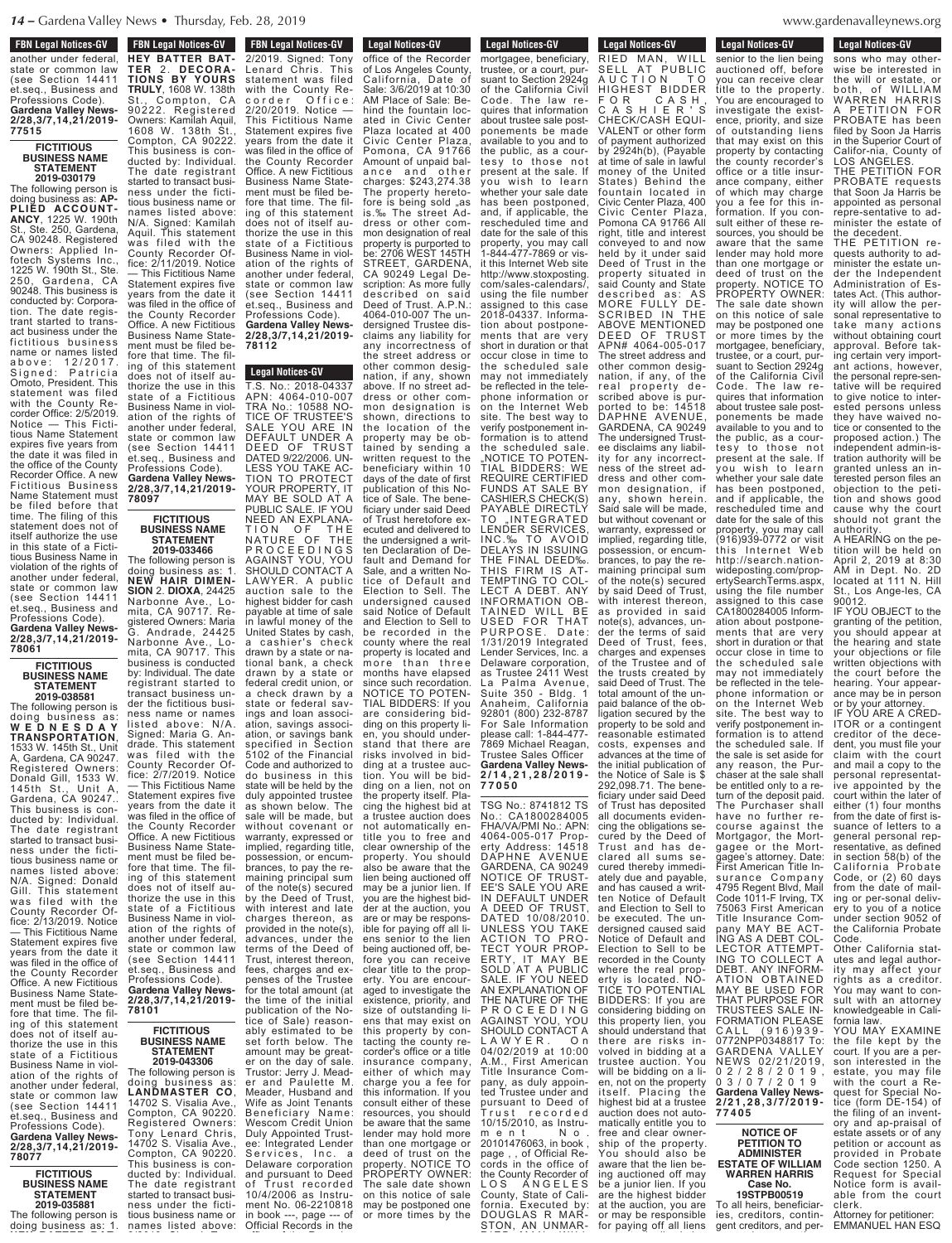**FBN Legal Notices-GV THE LEGAL MULLES-CIV** another under federal state or common law (see Section 14411 et.seq., Business and Professions Code). **Gardena Valley News-2/28,3/7,14,21/2019- 77515**

#### **FICTITIOUS BUSINESS NAME STATEMENT 2019-030179**

The following person is doing business as: **AP-PLIED ACCOUNT-ANCY**, 1225 W. 190th St., Ste. 250, Gardena, CA 90248. Registered Owners: Applied Infotech Systems Inc., 1225 W. 190th St., Ste. 250, Gardena, CA 90248. This business is conducted by: Corporation. The date registrant started to transact business under the fictitious business name or names listed a b o v e : 1 2 / 2 0 1 7 . Signed: Patricia Omoto, President. This statement was filed with the County Recorder Office: 2/5/2019. Notice — This Fictitious Name Statement expires five years from the date it was filed in the office of the County Recorder Office. A new Fictitious Business Name Statement must be filed before that time. The filing of this statement does not of itself authorize the use in this state of a Fictitious Business Name in violation of the rights of another under federal, state or common law (see Section 14411 et.seq., Business and Professions Code). **Gardena Valley News-2/28,3/7,14,21/2019-**

## **FICTITIOUS BUSINESS NAME STATEMENT**

**78061**

**2019-038581** The following person is doing business as: **W E D N E S D A Y TRANSPORTATION**, 1533 W. 145th St., Unit A, Gardena, CA 90247. Registered Owners: Donald Gill, 1533 W. 145th St., Unit A, Gardena, CA 90247. This business is conducted by: Individual The date registrant started to transact business under the fictitious business name or names listed above: N/A. Signed: Donald Gill. This statement was filed with the County Recorder Of-<br>fice: 2/13/2019. Notice — This Fictitious Name Statement expires five years from the date it was filed in the office of the County Recorder Office. A new Fictitious Business Name Statement must be filed before that time. The filing of this statement does not of itself authorize the use in this state of a Fictitious Business Name in violation of the rights of another under federal, state or common law (see Section 14411 et.seq., Business and Professions Code). **Gardena Valley News-2/28,3/7,14,21/2019- 78077**

### **FICTITIOUS BUSINESS NAME STATEMENT 2019-035881**

The following person is doing business as: 1.

**FBN Legal Notices-GV** rbiv Leyal Nutres-dv 2/2019. Signed: Tony Lenard Chris. This statement was filed **78112 FBN Legal Notices-GV DISTURBED BUSINESS CONTROL HEY BATTER BAT-TER** 2. **DECORA-TIONS BY YOURS TRULY**, 1608 W. 138th St., Compton, CA<br>90222 Registered 90222. Registered Owners: Kamilah Aquil, 1608 W. 138th St., Compton, CA 90222. This business is conducted by: Individual. The date registrant started to transact business under the fictitious business name or names listed above: N/A. Signed: Kamilah Aquil. This statement was filed with the County Recorder Office: 2/11/2019. Notice — This Fictitious Name Statement expires five years from the date it was filed in the office of the County Recorder Office. A new Fictitious Business Name Statement must be filed before that time. The filing of this statement does not of itself authorize the use in this state of a Fictitious Business Name in violation of the rights of

state or common law (see Section 14411 et.seq., Business and Professions Code). **Gardena Valley News-2/28,3/7,14,21/2019- 78097**

another under federal,

#### **FICTITIOUS BUSINESS NAME STATEMENT 2019-033466**

Trust, interest thereon, fees, charges and expenses of the Trustee for the total amount (at the time of the initial publication of the Notice of Sale) reason-The following person is doing business as: 1. **NEW HAIR DIMEN-SION** 2. **DIOXA**, 24425 Narbonne Ave., Lomita, CA 90717. Registered Owners: Maria G. Andrade, 24425 Narbonne Ave., Lomita, CA 90717. This business is conducted by: Individual. The date registrant started to transact business under the fictitious business name or names listed above: N/A. Signed: Maria G. Andrade. This statement was filed with the County Recorder Office: 2/7/2019. Notice — This Fictitious Name Statement expires five years from the date it was filed in the office of the County Recorder Office. A new Fictitious Business Name Statement must be filed before that time. The filing of this statement does not of itself authorize the use in this state of a Fictitious Business Name in violation of the rights of another under federal, state or common law (see Section 14411 et.seq., Business and Professions Code). **Gardena Valley News-2/28,3/7,14,21/2019- 78101**

#### **FICTITIOUS BUSINESS NAME STATEMENT 2019-043306**

er on the day of sale. Trustor: Jerry J. Meader and Paulette M. Meader, Husband and Wife as Joint Tenants Beneficiary Name: Wescom Credit Union Duly Appointed Trustee: Integrated Lender Services, Inc. a<br>Delaware corporation and pursuant to Deed Trust recorded 10/4/2006 as Instrument No. 06-2210818 in book ---, page --- of Official Records in the The following person is doing business as: **LANDMASTER CO**, 14702 S. Visalia Ave., Compton, CA 90220. Registered Owners: Tony Lenard Chris, 14702 S. Visalia Ave., Compton, CA 90220. This business is conducted by: Individual. The date registrant started to transact business under the fictitious business name or names listed above:

ably estimated to be set forth below. The amount may be great-

California, Date of Sale: 3/6/2019 at 10:30 AM Place of Sale: Bewith the County Recorder Office: 2/20/2019. Notice — This Fictitious Name Statement expires five years from the date it was filed in the office of the County Recorder Office. A new Fictitious Business Name Statement must be filed before that time. The filing of this statement does not of itself authorize the use in this state of a Fictitious Business Name in violation of the rights of another under federal, state or common law (see Section 14411 et.seq., Business and Professions Code). **Gardena Valley News-2/28,3/7,14,21/2019- Legal Notices-GV** T.S. No.: 2018-04337 APN: 4064-010-007 TRA No.: 10588 NO-TICE OF TRUSTEE'S SALE YOU ARE IN DEFAULT UNDER A DEED OF TRUST DATED 9/22/2006. UN-LESS YOU TAKE AC-TION TO PROTECT YOUR PROPERTY, IT MAY BE SOLD AT A PUBLIC SALE. IF YOU NEED AN EXPLANA-TION OF THE NATURE OF THE P R O C E E D I N G S AGAINST YOU, YOU SHOULD CONTACT A LAWYER. A public auction sale to the highest bidder for cash payable at time of sale in lawful money of the United States by cash, a cashier's check drawn by a state or national bank, a check drawn by a state or federal credit union, or a check drawn by a state or federal savings and loan association, savings association, or savings bank specified in Section 5102 of the Financial Code and authorized to do business in this state will be held by the duly appointed trustee as shown below. The sale will be made, but without covenant or warranty, expressed or implied, regarding title, possession, or encumbrances, to pay the remaining principal sum of the note(s) secured by the Deed of Trust, with interest and late charges thereon, as provided in the note(s), advances, under the terms of the Deed of

hind the fountain located in Civic Center Plaza located at 400 Civic Center Plaza, Pomona, CA 91766 Amount of unpaid balance and other charges: \$243,274.38 The property heretofore is being sold "as is.‰ The street Address or other mon designation of real property is purported to be: 2706 WEST 145TH STREET, GARDENA, CA 90249 Legal Description: As more fully described on said Deed of Trust. A.P.N.: 4064-010-007 The undersigned Trustee disclaims any liability for any incorrectness of the street address or other common designation, if any, shown above. If no street address or other common designation is shown, directions to the location of the property may be obtained by sending a written request to the beneficiary within 10 days of the date of first publication of this Notice of Sale. The beneficiary under said Deed of Trust heretofore executed and delivered to the undersigned a written Declaration of Default and Demand for Sale, and a written Notice of Default and Election to Sell. The undersigned caused said Notice of Default and Election to Sell to be recorded in the county where the real property is located and more than three months have elapsed since such recordation. NOTICE TO POTEN-TIAL BIDDERS: If you are considering bidding on this property lien, you should understand that there are risks involved in bidding at a trustee auction. You will be bidding on a lien, not on the property itself. Placing the highest bid at a trustee auction does not automatically entitle you to free and clear ownership of the property. You should also be aware that the lien being auctioned off may be a junior lien. If you are the highest bidder at the auction, you are or may be respons-ible for paying off all liens senior to the lien being auctioned off, be-<br>fore you can receive vou can receive clear title to the property. You are encouraged to investigate the existence, priority, and size of outstanding liens that may exist on this property by contacting the county recorder's office or a title insurance company, either of which may charge you a fee for this information. If you consult either of these resources, you should be aware that the same lender may hold more than one mortgage or deed of trust on the property. NOTICE TO PROPERTY OWNER: The sale date shown on this notice of sale may be postponed one or more times by the mortgagee, beneficiary,

**Legal Notices-GV** Legal Nutrices-GV office of the Recorder of Los Angeles County,

**Legal Notices-GV E** Legal Nutries-GV **Legal Notices-GV** Legal Nutries av mortgagee, beneficiary, trustee, or a court, pursuant to Section 2924g of the California Civil Code. The law requires that information about trustee sale postponements be made available to you and to the public, as a courtesy to those not present at the sale. If you wish to learn whether your sale date has been postponed, and, if applicable, the rescheduled time and date for the sale of this property, you may call 1-844-477-7869 or visit this Internet Web site http://www.stoxposting. com/sales-calendars/, using the file number assigned to this case 2018-04337. Information about postponements that are very short in duration or that occur close in time to the scheduled sale may not immediately be reflected in the telephone information or on the Internet Web site. The best way to verify postponement information is to attend the scheduled sale. "NOTICE TO POTEN-TIAL BIDDERS: WE REQUIRE CERTIFIED FUNDS AT SALE BY CASHIER'S CHECK(S) PAYABLE DIRECTLY TO "INTEGRATED LENDER SERVICES, INC.‰ TO AVOID DELAYS IN ISSUING THE FINAL DEED‰. THIS FIRM IS AT-TEMPTING TO COL-LECT A DEBT. ANY INFORMATION OB-TAINED WILL BE USED FOR THAT PURPOSE. Date: 1/31/2019 Integrated Lender Services, Inc. a Delaware corporation, as Trustee 2411 West La Palma Avenue, Suite 350 - Bldg. 1 Anaheim, California 92801 (800) 232-8787 For Sale Information please call: 1-844-477- 7869 Michael Reagan, Trustee Sales Officer **Gardena Valley News-2 / 1 4 , 2 1 , 2 8 / 2 0 1 9 - 7 7 0 5 0** TSG No.: 8741812 TS No.: CA1800284005 FHA/VA/PMI No.: APN: 4064-005-017 Property Address: 14518 DAPHNE AVENUE GARDENA, CA 90249 NOTICE OF TRUST-EE'S SALE YOU ARE IN DEFAULT UNDER A DEED OF TRUST, DATED 10/08/2010. UNLESS YOU TAKE ACTION TO PRO-TECT YOUR PROP-ERTY, IT MAY BE SOLD AT A PUBLIC SALE. IF YOU NEED AN EXPLANATION OF THE NATURE OF THE P R O C E E D I N G AGAINST YOU, YOU SHOULD CONTACT A L A W Y E R . O n 04/02/2019 at 10:00 A.M., First American Title Insurance Company, as duly appoin-ted Trustee under and pursuant to Deed of Trust recorded 10/15/2010, as Instrum e n t N o . 20101476063, in book , page , , of Official Records in the office of the County Recorder of LOS ANGELES County, State of California. Executed by: DOUGLAS R MAR-

STON, AN UNMAR-

RIED MAN, WILL SELL AT PUBLIC AUCTION TO SELL TION TO<br>HIGHEST BIDDER<br>FOR CASH, F O R C A S H , C A S H I E R ' S CHECK/CASH EQUI-VALENT or other form of payment authorized by 2924h(b), (Payable at time of sale in lawful money of the United States) Behind the fountain located in Civic Center Plaza, 400 Civic Center Plaza, Pomona CA 91766 All right, title and interest conveyed to and now held by it under said Deed of Trust in the property situated in said County and State described as: AS MORE FULLY DE-SCRIBED IN THE ABOVE MENTIONED DEED OF TRUST APN# 4064-005-017 The street address and other common designation, if any, of the real property described above is purported to be: 14518 DAPHNE AVENUE, GARDENA, CA 90249 The undersigned Trustee disclaims any liability for any incorrectness of the street address and other com-<br>mon designation, if mon designation, any, shown herein. Said sale will be made, but without covenant or warranty, expressed or implied, regarding title, possession, or encumbrances, to pay the remaining principal sum of the note(s) secured by said Deed of Trust, with interest thereon as provided in said note(s), advances, under the terms of said Deed of Trust, fees, charges and expenses of the Trustee and of the trusts created by said Deed of Trust. The total amount of the unpaid balance of the obligation secured by the property to be sold and reasonable estimated costs, expenses and advances at the time of the initial publication of the Notice of Sale is \$ 292,098.71. The beneficiary under said Deed of Trust has deposited all documents evidencing the obligations secured by the Deed of Trust and has declared all sums secured thereby immediately due and payable, and has caused a written Notice of Default and Election to Sell to be executed. The undersigned caused said Notice of Default and Election to Sell to be recorded in the County where the real property is located. NO-TICE TO POTENTIAL BIDDERS: If you are considering bidding on this property lien, you should understand that there are risks involved in bidding at a<br>trustee auction. You trustee auction. will be bidding on a lien, not on the property itself. Placing the highest bid at a trustee auction does not automatically entitle you to free and clear ownership of the property. You should also be aware that the lien being auctioned off may be a junior lien. If you are the highest bidder at the auction, you are or may be responsible for paying off all liens senior to the lien being

**Legal Notices-GV** 

**Legal Notices-GV** 

Legal Nutrices-GV sons who may otherwise be interested in the will or estate, or both, of WILLIAM WARREN HARRIS A PETITION FOR PROBATE has been filed by Soon Ja Harris in the Superior Court of Califor-nia, County of LOS ANGELES. THE PETITION FOR PROBATE requests that Soon Ja Harris be appointed as personal repre-sentative to administer the estate of the decedent. THE PETITION requests authority to administer the estate under the Independent Administration of Estates Act. (This authority will allow the personal representative to take many actions without obtaining court approval. Before taking certain very important actions, however, the personal repre-sentative will be required to give notice to interested persons unless they have waived notice or consented to the proposed action.) The independent admin-istration authority will be granted unless an interested person files an objection to the petition and shows good cause why the court should not grant the authority. A HEARING on the petition will be held on April 2, 2019 at 8:30 AM in Dept. No. 2D located at 111 N. Hill St., Los Ange-les, CA 90012. IF YOU OBJECT to the granting of the petition, you should appear at the hearing and state your objections or file written objections with the court before the hearing. Your appearance may be in person or by your attorney. IF YOU ARE A CRED-ITOR or a contingent creditor of the decedent, you must file your claim with the court and mail a copy to the personal representative appointed by the court within the later of either (1) four months from the date of first issuance of letters to a general personal representative, as defined in section 58(b) of the Cal ifornia Probate Code, or (2) 60 days from the date of mailing or per-sonal delivery to you of a notice under section 9052 of the California Probate<br>Code Code. **E** Legal Nutrices-GV senior to the lien being auctioned off, before you can receive clear title to the property. You are encouraged to investigate the existence, priority, and size of outstanding liens that may exist on this property by contacting the county recorder's office or a title insurance company, either of which may charge you a fee for this information. If you consult either of these resources, you should be aware that the same lender may hold more than one mortgage or deed of trust on the property. NOTICE TO PROPERTY OWNER: The sale date shown on this notice of sale may be postponed one or more times by the mortgagee, beneficiary, trustee, or a court, pursuant to Section 2924g of the California Civil Code. The law requires that information about trustee sale postponements be made available to you and to the public, as a courtesy to those not present at the sale. If you wish to learn whether your sale date has been postponed, and if applicable, the rescheduled time and date for the sale of this property, you may call (916)939-0772 or visit this Internet Web http://search.nationwideposting.com/propertySearchTerms.aspx, using the file number assigned to this case CA1800284005 Information about postponements that are very short in duration or that occur close in time to the scheduled may not immediately be reflected in the telephone information or on the Internet Web site. The best way to verify postponement information is to attend the scheduled sale. If the sale is set aside for any reason, the Purchaser at the sale shall be entitled only to a return of the deposit paid. The Purchaser shall have no further recourse against the Mortgagor, the Mortgagee or the Mortgagee's attorney. Date: First American Title Insurance Company 4795 Regent Blvd, Mail Code 1011-F Irving, TX 75063 First American Title Insurance Com-pany MAY BE ACT-ING AS A DEBT COL-LECTOR ATTEMPT-ING TO COLLECT A DEBT. ANY INFORM-ATION OBTAINED MAY BE USED FOR THAT PURPOSE FOR TRUSTEES SALE IN-FORMATION PLEASE C A L L (916) 939-0772NPP0348817 To: GARDENA VALLEY NEWS 02/21/2019, 0 2 / 2 8 / 2 0 1 9 , 0 3 / 0 7 / 2 0 1 9 **Gardena Valley News-2 / 2 1 , 2 8 , 3 / 7 / 2 0 1 9 - 7 7 4 0 5 NOTICE OF**

## **PETITION TO ADMINISTER ESTATE OF WILLIAM WARREN HARRIS Case No.**

**19STPB00519** To all heirs, beneficiar-<br>ies, creditors, contingent creditors, and per-

estate, you may file with the court a Request for Special Notice (form DE-154) of the filing of an invent-ory and ap-praisal of estate assets or of any petition or account as provided in Probate Code section 1250. A Request for Special Notice form is avail-able from the court clerk.

Attorney for petitioner: EMMANUEL HAN ESQ

Other California statutes and legal authority may affect your rights as a creditor. You may want to consult with an attorney knowledgeable in California law. YOU MAY EXAMINE the file kept by the court. If you are a person interested in the